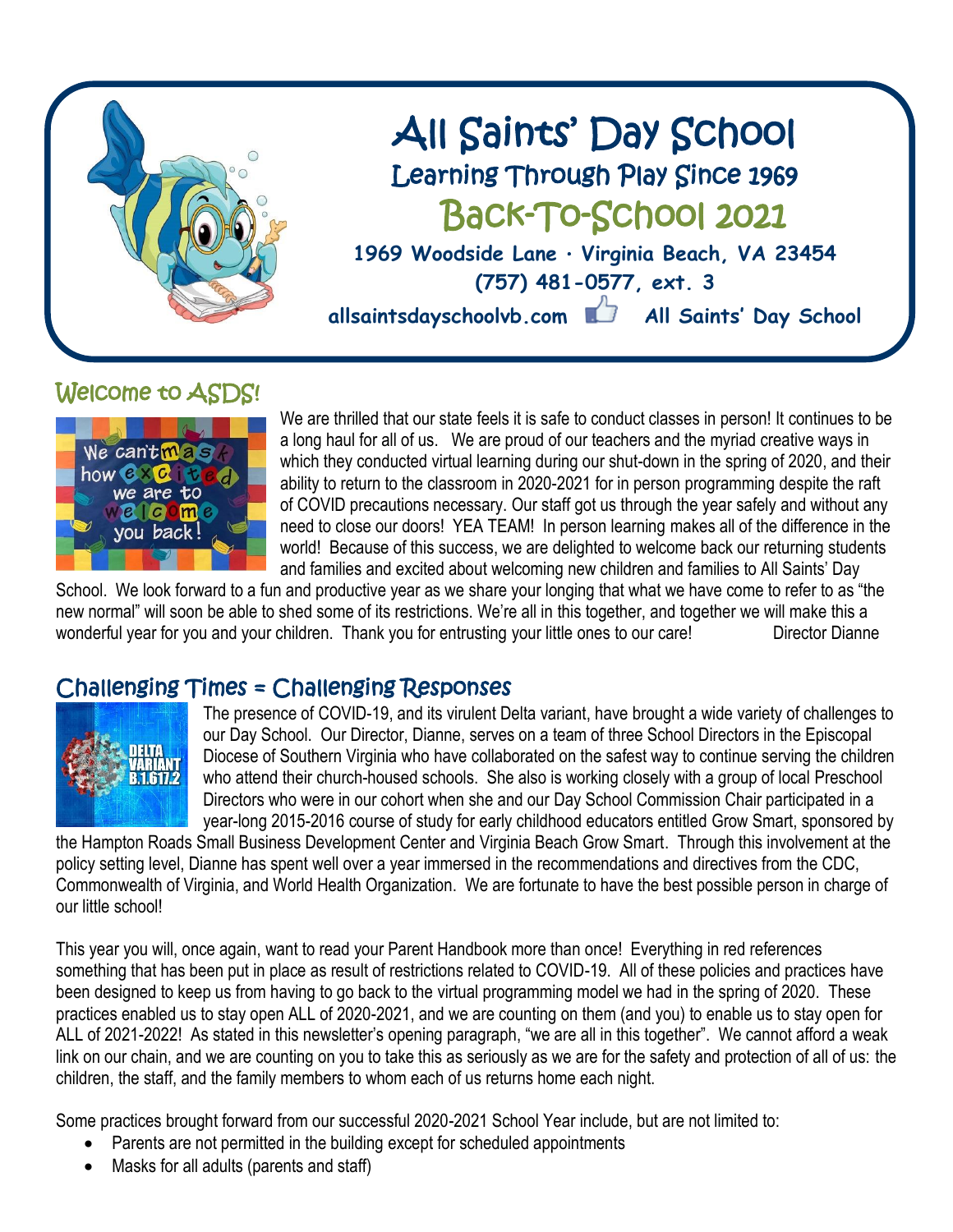

# Welcome to ASDS!



We are thrilled that our state feels it is safe to conduct classes in person! It continues to be a long haul for all of us. We are proud of our teachers and the myriad creative ways in which they conducted virtual learning during our shut-down in the spring of 2020, and their ability to return to the classroom in 2020-2021 for in person programming despite the raft of COVID precautions necessary. Our staff got us through the year safely and without any need to close our doors! YEA TEAM! In person learning makes all of the difference in the world! Because of this success, we are delighted to welcome back our returning students and families and excited about welcoming new children and families to All Saints' Day

School. We look forward to a fun and productive year as we share your longing that what we have come to refer to as "the new normal" will soon be able to shed some of its restrictions. We're all in this together, and together we will make this a wonderful year for you and your children. Thank you for entrusting your little ones to our care! Director Dianne

## Challenging Times = Challenging Responses



The presence of COVID-19, and its virulent Delta variant, have brought a wide variety of challenges to our Day School. Our Director, Dianne, serves on a team of three School Directors in the Episcopal Diocese of Southern Virginia who have collaborated on the safest way to continue serving the children who attend their church-housed schools. She also is working closely with a group of local Preschool Directors who were in our cohort when she and our Day School Commission Chair participated in a year-long 2015-2016 course of study for early childhood educators entitled Grow Smart, sponsored by

the Hampton Roads Small Business Development Center and Virginia Beach Grow Smart. Through this involvement at the policy setting level, Dianne has spent well over a year immersed in the recommendations and directives from the CDC, Commonwealth of Virginia, and World Health Organization. We are fortunate to have the best possible person in charge of our little school!

This year you will, once again, want to read your Parent Handbook more than once! Everything in red references something that has been put in place as result of restrictions related to COVID-19. All of these policies and practices have been designed to keep us from having to go back to the virtual programming model we had in the spring of 2020. These practices enabled us to stay open ALL of 2020-2021, and we are counting on them (and you) to enable us to stay open for ALL of 2021-2022! As stated in this newsletter's opening paragraph, "we are all in this together". We cannot afford a weak link on our chain, and we are counting on you to take this as seriously as we are for the safety and protection of all of us: the children, the staff, and the family members to whom each of us returns home each night.

Some practices brought forward from our successful 2020-2021 School Year include, but are not limited to:

- Parents are not permitted in the building except for scheduled appointments
- Masks for all adults (parents and staff)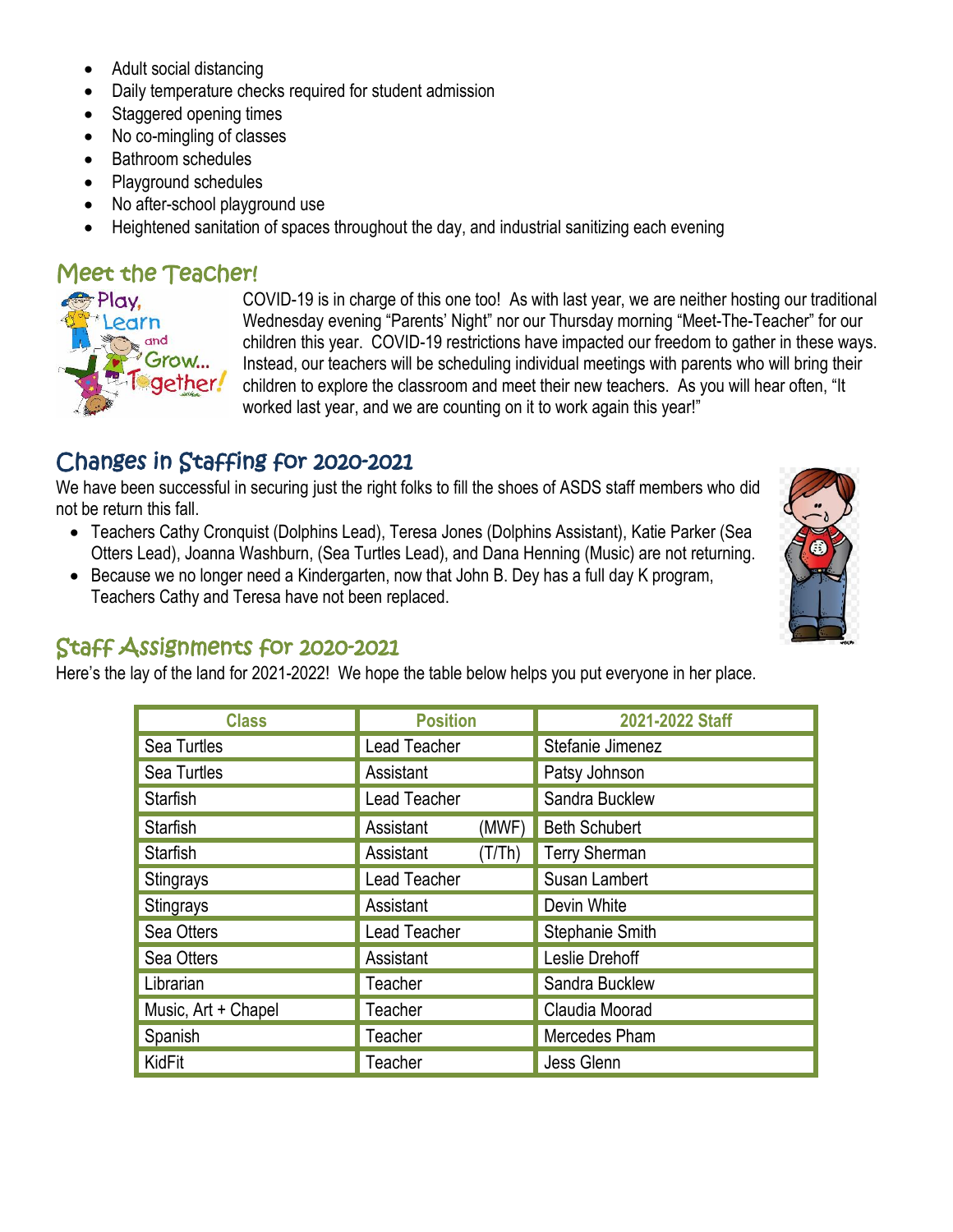- Adult social distancing
- Daily temperature checks required for student admission
- Staggered opening times
- No co-mingling of classes
- Bathroom schedules
- Playground schedules
- No after-school playground use
- Heightened sanitation of spaces throughout the day, and industrial sanitizing each evening

## Meet the Teacher!



COVID-19 is in charge of this one too! As with last year, we are neither hosting our traditional Wednesday evening "Parents' Night" nor our Thursday morning "Meet-The-Teacher" for our children this year. COVID-19 restrictions have impacted our freedom to gather in these ways. Instead, our teachers will be scheduling individual meetings with parents who will bring their children to explore the classroom and meet their new teachers. As you will hear often, "It worked last year, and we are counting on it to work again this year!"

# Changes in Staffing for 2020-2021

We have been successful in securing just the right folks to fill the shoes of ASDS staff members who did not be return this fall.

- Teachers Cathy Cronquist (Dolphins Lead), Teresa Jones (Dolphins Assistant), Katie Parker (Sea Otters Lead), Joanna Washburn, (Sea Turtles Lead), and Dana Henning (Music) are not returning.
- Because we no longer need a Kindergarten, now that John B. Dey has a full day K program, Teachers Cathy and Teresa have not been replaced.



### Staff Assignments for 2020-2021

Here's the lay of the land for 2021-2022! We hope the table below helps you put everyone in her place.

| <b>Class</b>        | <b>Position</b>     |  | 2021-2022 Staff      |  |
|---------------------|---------------------|--|----------------------|--|
| Sea Turtles         | Lead Teacher        |  | Stefanie Jimenez     |  |
| Sea Turtles         | Assistant           |  | Patsy Johnson        |  |
| <b>Starfish</b>     | <b>Lead Teacher</b> |  | Sandra Bucklew       |  |
| <b>Starfish</b>     | Assistant<br>(MWF)  |  | <b>Beth Schubert</b> |  |
| <b>Starfish</b>     | Assistant<br>(T/Th) |  | <b>Terry Sherman</b> |  |
| Stingrays           | Lead Teacher        |  | Susan Lambert        |  |
| Stingrays           | Assistant           |  | Devin White          |  |
| Sea Otters          | Lead Teacher        |  | Stephanie Smith      |  |
| Sea Otters          | Assistant           |  | Leslie Drehoff       |  |
| Librarian           | Teacher             |  | Sandra Bucklew       |  |
| Music, Art + Chapel | Teacher             |  | Claudia Moorad       |  |
| Spanish             | Teacher             |  | Mercedes Pham        |  |
| KidFit              | Teacher             |  | Jess Glenn           |  |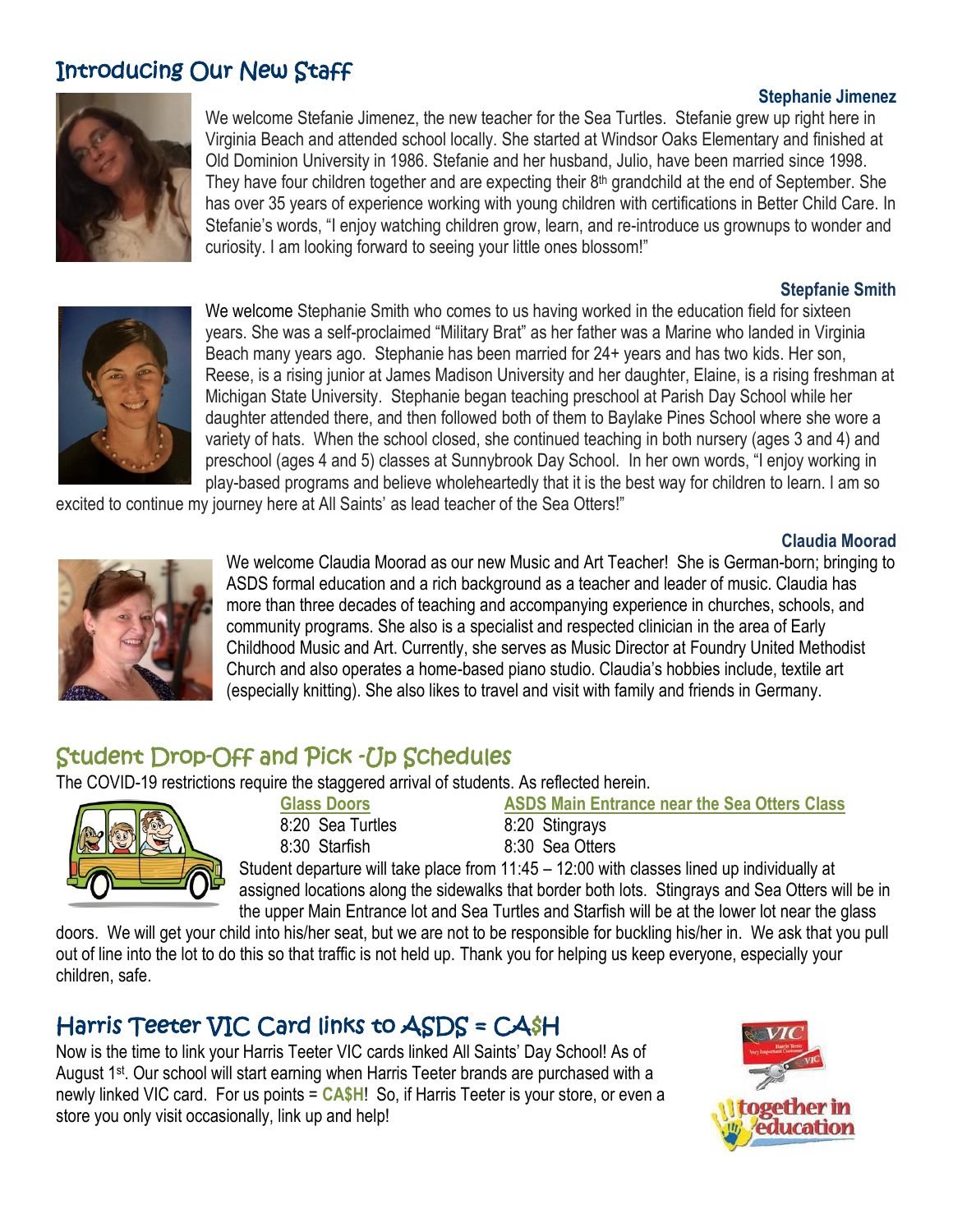# Introducing Our New Staff



**Stephanie Jimenez** We welcome Stefanie Jimenez, the new teacher for the Sea Turtles. Stefanie grew up right here in Virginia Beach and attended school locally. She started at Windsor Oaks Elementary and finished at Old Dominion University in 1986. Stefanie and her husband, Julio, have been married since 1998. They have four children together and are expecting their  $8<sup>th</sup>$  grandchild at the end of September. She has over 35 years of experience working with young children with certifications in Better Child Care. In Stefanie's words, "I enjoy watching children grow, learn, and re-introduce us grownups to wonder and curiosity. I am looking forward to seeing your little ones blossom!"

#### **Stepfanie Smith**



We welcome Stephanie Smith who comes to us having worked in the education field for sixteen years. She was a self-proclaimed "Military Brat" as her father was a Marine who landed in Virginia Beach many years ago. Stephanie has been married for 24+ years and has two kids. Her son, Reese, is a rising junior at James Madison University and her daughter, Elaine, is a rising freshman at Michigan State University. Stephanie began teaching preschool at Parish Day School while her daughter attended there, and then followed both of them to Baylake Pines School where she wore a variety of hats. When the school closed, she continued teaching in both nursery (ages 3 and 4) and preschool (ages 4 and 5) classes at Sunnybrook Day School. In her own words, "I enjoy working in play-based programs and believe wholeheartedly that it is the best way for children to learn. I am so

excited to continue my journey here at All Saints' as lead teacher of the Sea Otters!"

#### **Claudia Moorad**



We welcome Claudia Moorad as our new Music and Art Teacher! She is German-born; bringing to ASDS formal education and a rich background as a teacher and leader of music. Claudia has more than three decades of teaching and accompanying experience in churches, schools, and community programs. She also is a specialist and respected clinician in the area of Early Childhood Music and Art. Currently, she serves as Music Director at Foundry United Methodist Church and also operates a home-based piano studio. Claudia's hobbies include, textile art (especially knitting). She also likes to travel and visit with family and friends in Germany.

# Student Drop-Off and Pick -Up Schedules

The COVID-19 restrictions require the staggered arrival of students. As reflected herein.



# 8:20 Sea Turtles 8:20 Stingrays 8:30 Starfish 8:30 Sea Otters

**Glass Doors ASDS Main Entrance near the Sea Otters Class**

Student departure will take place from 11:45 – 12:00 with classes lined up individually at assigned locations along the sidewalks that border both lots. Stingrays and Sea Otters will be in the upper Main Entrance lot and Sea Turtles and Starfish will be at the lower lot near the glass

doors. We will get your child into his/her seat, but we are not to be responsible for buckling his/her in. We ask that you pull out of line into the lot to do this so that traffic is not held up. Thank you for helping us keep everyone, especially your children, safe.

# Harris Teeter VIC Card links to ASDS = CA\$H

Now is the time to link your Harris Teeter VIC cards linked All Saints' Day School! As of August 1st. Our school will start earning when Harris Teeter brands are purchased with a newly linked VIC card. For us points = **CA\$H**! So, if Harris Teeter is your store, or even a store you only visit occasionally, link up and help!

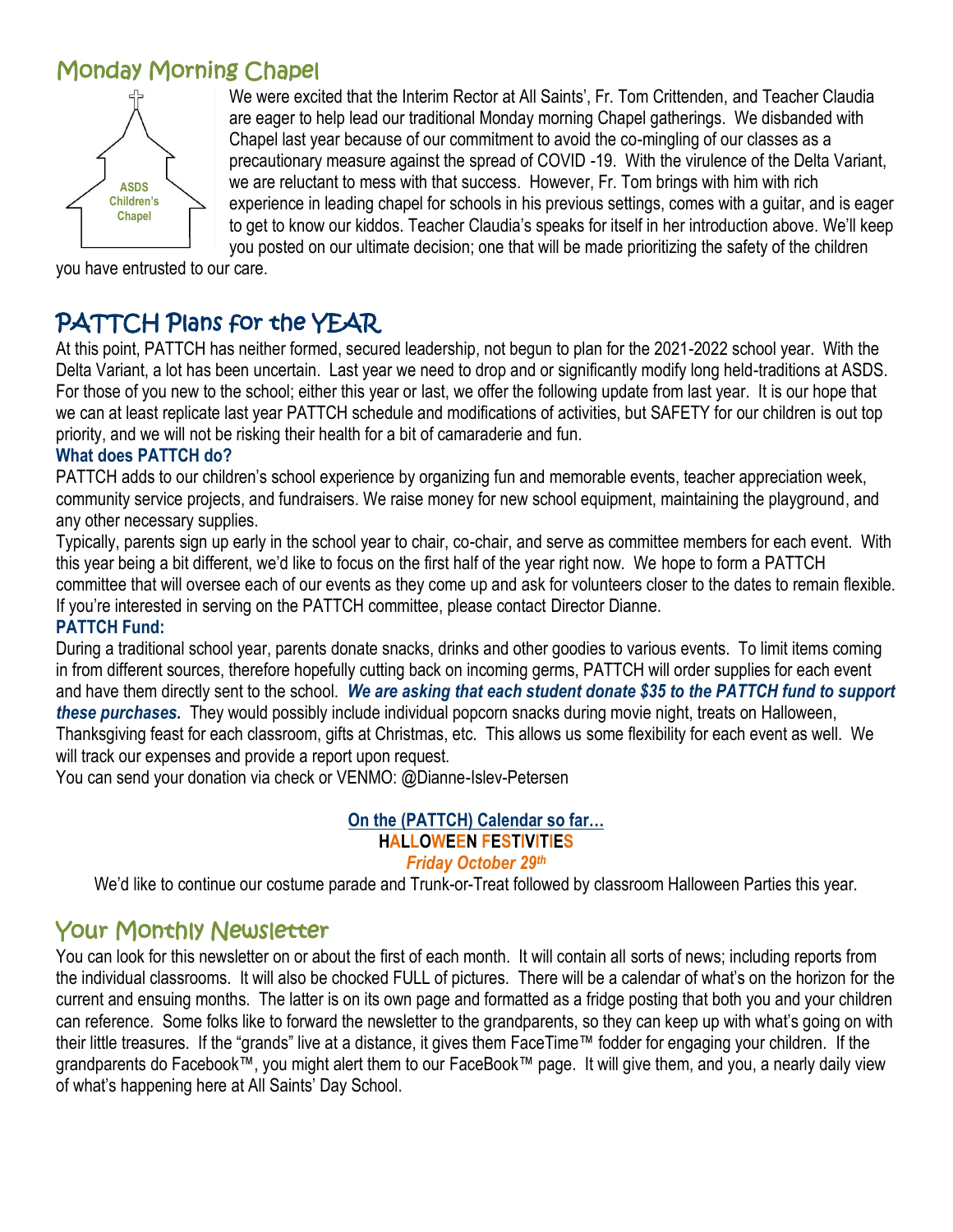# Monday Morning Chapel



We were excited that the Interim Rector at All Saints', Fr. Tom Crittenden, and Teacher Claudia are eager to help lead our traditional Monday morning Chapel gatherings. We disbanded with Chapel last year because of our commitment to avoid the co-mingling of our classes as a precautionary measure against the spread of COVID -19. With the virulence of the Delta Variant, we are reluctant to mess with that success. However, Fr. Tom brings with him with rich experience in leading chapel for schools in his previous settings, comes with a guitar, and is eager to get to know our kiddos. Teacher Claudia's speaks for itself in her introduction above. We'll keep you posted on our ultimate decision; one that will be made prioritizing the safety of the children

you have entrusted to our care.

# PATTCH Plans for the YEAR

At this point, PATTCH has neither formed, secured leadership, not begun to plan for the 2021-2022 school year. With the Delta Variant, a lot has been uncertain. Last year we need to drop and or significantly modify long held-traditions at ASDS. For those of you new to the school; either this year or last, we offer the following update from last year. It is our hope that we can at least replicate last year PATTCH schedule and modifications of activities, but SAFETY for our children is out top priority, and we will not be risking their health for a bit of camaraderie and fun.

#### **What does PATTCH do?**

PATTCH adds to our children's school experience by organizing fun and memorable events, teacher appreciation week, community service projects, and fundraisers. We raise money for new school equipment, maintaining the playground, and any other necessary supplies.

Typically, parents sign up early in the school year to chair, co-chair, and serve as committee members for each event. With this year being a bit different, we'd like to focus on the first half of the year right now. We hope to form a PATTCH committee that will oversee each of our events as they come up and ask for volunteers closer to the dates to remain flexible. If you're interested in serving on the PATTCH committee, please contact Director Dianne.

#### **PATTCH Fund:**

During a traditional school year, parents donate snacks, drinks and other goodies to various events. To limit items coming in from different sources, therefore hopefully cutting back on incoming germs, PATTCH will order supplies for each event and have them directly sent to the school. *We are asking that each student donate \$35 to the PATTCH fund to support these purchases.* They would possibly include individual popcorn snacks during movie night, treats on Halloween, Thanksgiving feast for each classroom, gifts at Christmas, etc. This allows us some flexibility for each event as well. We will track our expenses and provide a report upon request.

You can send your donation via check or VENMO: @Dianne-Islev-Petersen

#### **On the (PATTCH) Calendar so far… HALLOWEEN FESTIVITIES** *Friday October 29th*

We'd like to continue our costume parade and Trunk-or-Treat followed by classroom Halloween Parties this year.

## Your Monthly Newsletter

You can look for this newsletter on or about the first of each month. It will contain all sorts of news; including reports from the individual classrooms. It will also be chocked FULL of pictures. There will be a calendar of what's on the horizon for the current and ensuing months. The latter is on its own page and formatted as a fridge posting that both you and your children can reference. Some folks like to forward the newsletter to the grandparents, so they can keep up with what's going on with their little treasures. If the "grands" live at a distance, it gives them FaceTime™ fodder for engaging your children. If the grandparents do Facebook™, you might alert them to our FaceBook™ page. It will give them, and you, a nearly daily view of what's happening here at All Saints' Day School.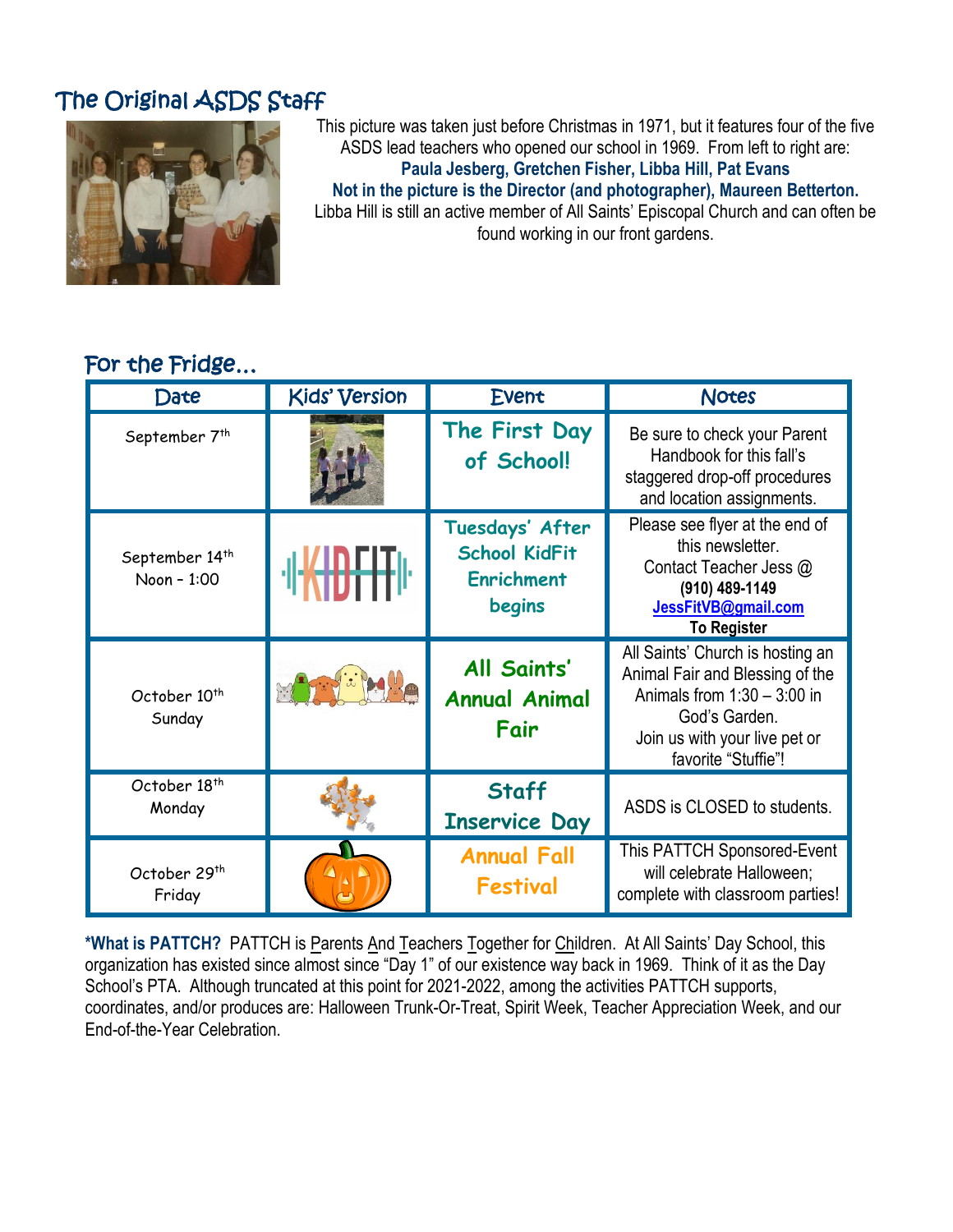# The Original ASDS Staff



This picture was taken just before Christmas in 1971, but it features four of the five ASDS lead teachers who opened our school in 1969. From left to right are: **Paula Jesberg, Gretchen Fisher, Libba Hill, Pat Evans Not in the picture is the Director (and photographer), Maureen Betterton.** Libba Hill is still an active member of All Saints' Episcopal Church and can often be found working in our front gardens.

## For the Fridge…

| Date                                      | <b>Kids' Version</b>              | Event                                                                  | <b>Notes</b>                                                                                                                                                                  |
|-------------------------------------------|-----------------------------------|------------------------------------------------------------------------|-------------------------------------------------------------------------------------------------------------------------------------------------------------------------------|
| September 7 <sup>th</sup>                 |                                   | The First Day<br>of School!                                            | Be sure to check your Parent<br>Handbook for this fall's<br>staggered drop-off procedures<br>and location assignments.                                                        |
| September 14 <sup>th</sup><br>Noon - 1:00 | <b>·</b> II <del>KIDFIT</del> II· | Tuesdays' After<br><b>School KidFit</b><br><b>Enrichment</b><br>begins | Please see flyer at the end of<br>this newsletter.<br>Contact Teacher Jess @<br>(910) 489-1149<br>JessFitVB@gmail.com<br><b>To Register</b>                                   |
| October 10 <sup>th</sup><br>Sunday        |                                   | All Saints'<br><b>Annual Animal</b><br>Fair                            | All Saints' Church is hosting an<br>Animal Fair and Blessing of the<br>Animals from $1:30 - 3:00$ in<br>God's Garden.<br>Join us with your live pet or<br>favorite "Stuffie"! |
| October 18 <sup>th</sup><br>Monday        |                                   | <b>Staff</b><br><b>Inservice Day</b>                                   | ASDS is CLOSED to students.                                                                                                                                                   |
| October 29 <sup>th</sup><br>Friday        |                                   | <b>Annual Fall</b><br><b>Festival</b>                                  | This PATTCH Sponsored-Event<br>will celebrate Halloween;<br>complete with classroom parties!                                                                                  |

**\*What is PATTCH?** PATTCH is Parents And Teachers Together for Children. At All Saints' Day School, this organization has existed since almost since "Day 1" of our existence way back in 1969. Think of it as the Day School's PTA. Although truncated at this point for 2021-2022, among the activities PATTCH supports, coordinates, and/or produces are: Halloween Trunk-Or-Treat, Spirit Week, Teacher Appreciation Week, and our End-of-the-Year Celebration.